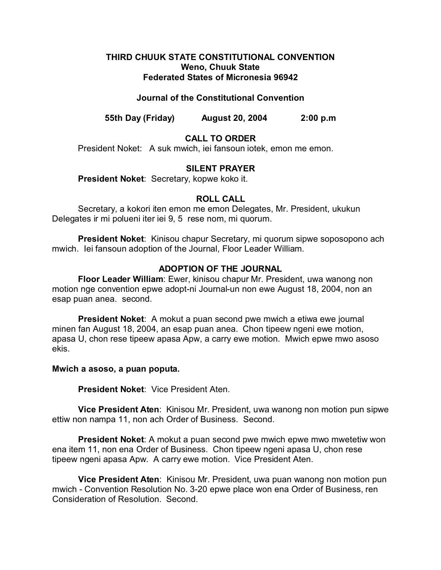## **THIRD CHUUK STATE CONSTITUTIONAL CONVENTION Weno, Chuuk State Federated States of Micronesia 96942**

## **Journal of the Constitutional Convention**

**55th Day (Friday) August 20, 2004 2:00 p.m**

# **CALL TO ORDER**

President Noket: A suk mwich, iei fansoun iotek, emon me emon.

## **SILENT PRAYER**

**President Noket**: Secretary, kopwe koko it.

## **ROLL CALL**

Secretary, a kokori iten emon me emon Delegates, Mr. President, ukukun Delegates ir mi polueni iter iei 9, 5 rese nom, mi quorum.

**President Noket**: Kinisou chapur Secretary, mi quorum sipwe soposopono ach mwich. Iei fansoun adoption of the Journal, Floor Leader William.

# **ADOPTION OF THE JOURNAL**

**Floor Leader William**: Ewer, kinisou chapur Mr. President, uwa wanong non motion nge convention epwe adopt-ni Journal-un non ewe August 18, 2004, non an esap puan anea. second.

**President Noket:** A mokut a puan second pwe mwich a etiwa ewe journal minen fan August 18, 2004, an esap puan anea. Chon tipeew ngeni ewe motion, apasa U, chon rese tipeew apasa Apw, a carry ewe motion. Mwich epwe mwo asoso ekis.

#### **Mwich a asoso, a puan poputa.**

**President Noket**: Vice President Aten.

**Vice President Aten**: Kinisou Mr. President, uwa wanong non motion pun sipwe ettiw non nampa 11, non ach Order of Business. Second.

**President Noket**: A mokut a puan second pwe mwich epwe mwo mwetetiw won ena item 11, non ena Order of Business. Chon tipeew ngeni apasa U, chon rese tipeew ngeni apasa Apw. A carry ewe motion. Vice President Aten.

**Vice President Aten**: Kinisou Mr. President, uwa puan wanong non motion pun mwich - Convention Resolution No. 3-20 epwe place won ena Order of Business, ren Consideration of Resolution. Second.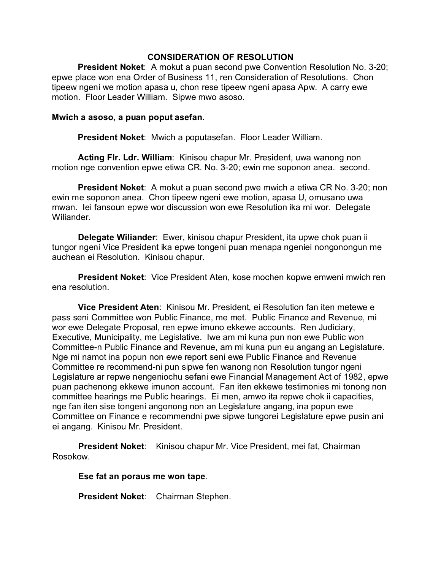## **CONSIDERATION OF RESOLUTION**

**President Noket**: A mokut a puan second pwe Convention Resolution No. 3-20; epwe place won ena Order of Business 11, ren Consideration of Resolutions. Chon tipeew ngeni we motion apasa u, chon rese tipeew ngeni apasa Apw. A carry ewe motion. Floor Leader William. Sipwe mwo asoso.

#### **Mwich a asoso, a puan poput asefan.**

**President Noket**: Mwich a poputasefan. Floor Leader William.

**Acting Flr. Ldr. William**: Kinisou chapur Mr. President, uwa wanong non motion nge convention epwe etiwa CR. No. 3-20; ewin me soponon anea. second.

**President Noket**: A mokut a puan second pwe mwich a etiwa CR No. 3-20; non ewin me soponon anea. Chon tipeew ngeni ewe motion, apasa U, omusano uwa mwan. Iei fansoun epwe wor discussion won ewe Resolution ika mi wor. Delegate Wiliander.

**Delegate Wiliander**: Ewer, kinisou chapur President, ita upwe chok puan ii tungor ngeni Vice President ika epwe tongeni puan menapa ngeniei nongonongun me auchean ei Resolution. Kinisou chapur.

**President Noket**: Vice President Aten, kose mochen kopwe emweni mwich ren ena resolution.

**Vice President Aten**: Kinisou Mr. President, ei Resolution fan iten metewe e pass seni Committee won Public Finance, me met. Public Finance and Revenue, mi wor ewe Delegate Proposal, ren epwe imuno ekkewe accounts. Ren Judiciary, Executive, Municipality, me Legislative. Iwe am mi kuna pun non ewe Public won Committee-n Public Finance and Revenue, am mi kuna pun eu angang an Legislature. Nge mi namot ina popun non ewe report seni ewe Public Finance and Revenue Committee re recommend-ni pun sipwe fen wanong non Resolution tungor ngeni Legislature ar repwe nengeniochu sefani ewe Financial Management Act of 1982, epwe puan pachenong ekkewe imunon account. Fan iten ekkewe testimonies mi tonong non committee hearings me Public hearings. Ei men, amwo ita repwe chok ii capacities, nge fan iten sise tongeni angonong non an Legislature angang, ina popun ewe Committee on Finance e recommendni pwe sipwe tungorei Legislature epwe pusin ani ei angang. Kinisou Mr. President.

**President Noket:** Kinisou chapur Mr. Vice President, mei fat, Chairman Rosokow.

**Ese fat an poraus me won tape**.

**President Noket**: Chairman Stephen.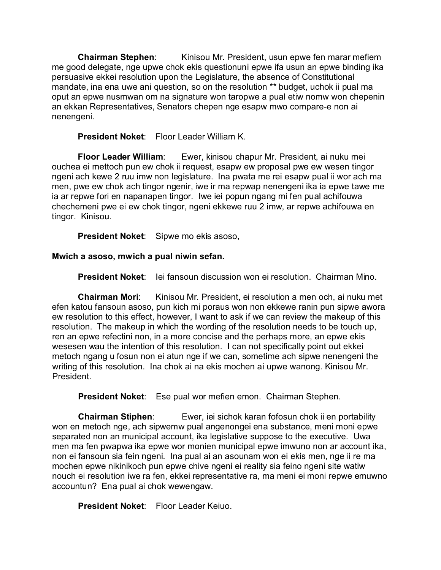**Chairman Stephen**: Kinisou Mr. President, usun epwe fen marar mefiem me good delegate, nge upwe chok ekis questionuni epwe ifa usun an epwe binding ika persuasive ekkei resolution upon the Legislature, the absence of Constitutional mandate, ina ena uwe ani question, so on the resolution \*\* budget, uchok ii pual ma oput an epwe nusmwan om na signature won taropwe a pual etiw nomw won chepenin an ekkan Representatives, Senators chepen nge esapw mwo compare-e non ai nenengeni.

**President Noket**: Floor Leader William K.

**Floor Leader William**: Ewer, kinisou chapur Mr. President, ai nuku mei ouchea ei mettoch pun ew chok ii request, esapw ew proposal pwe ew wesen tingor ngeni ach kewe 2 ruu imw non legislature. Ina pwata me rei esapw pual ii wor ach ma men, pwe ew chok ach tingor ngenir, iwe ir ma repwap nenengeni ika ia epwe tawe me ia ar repwe fori en napanapen tingor. Iwe iei popun ngang mi fen pual achifouwa chechemeni pwe ei ew chok tingor, ngeni ekkewe ruu 2 imw, ar repwe achifouwa en tingor. Kinisou.

**President Noket**: Sipwe mo ekis asoso,

**Mwich a asoso, mwich a pual niwin sefan.**

**President Noket**: Iei fansoun discussion won ei resolution. Chairman Mino.

**Chairman Mori**: Kinisou Mr. President, ei resolution a men och, ai nuku met efen katou fansoun asoso, pun kich mi poraus won non ekkewe ranin pun sipwe awora ew resolution to this effect, however, I want to ask if we can review the makeup of this resolution. The makeup in which the wording of the resolution needs to be touch up, ren an epwe refectini non, in a more concise and the perhaps more, an epwe ekis wesesen wau the intention of this resolution. I can not specifically point out ekkei metoch ngang u fosun non ei atun nge if we can, sometime ach sipwe nenengeni the writing of this resolution. Ina chok ai na ekis mochen ai upwe wanong. Kinisou Mr. President.

**President Noket**: Ese pual wor mefien emon. Chairman Stephen.

**Chairman Stiphen**: Ewer, iei sichok karan fofosun chok ii en portability won en metoch nge, ach sipwemw pual angenongei ena substance, meni moni epwe separated non an municipal account, ika legislative suppose to the executive. Uwa men ma fen pwapwa ika epwe wor monien municipal epwe imwuno non ar account ika, non ei fansoun sia fein ngeni. Ina pual ai an asounam won ei ekis men, nge ii re ma mochen epwe nikinikoch pun epwe chive ngeni ei reality sia feino ngeni site watiw nouch ei resolution iwe ra fen, ekkei representative ra, ma meni ei moni repwe emuwno accountun? Ena pual ai chok wewengaw.

**President Noket**: Floor Leader Keiuo.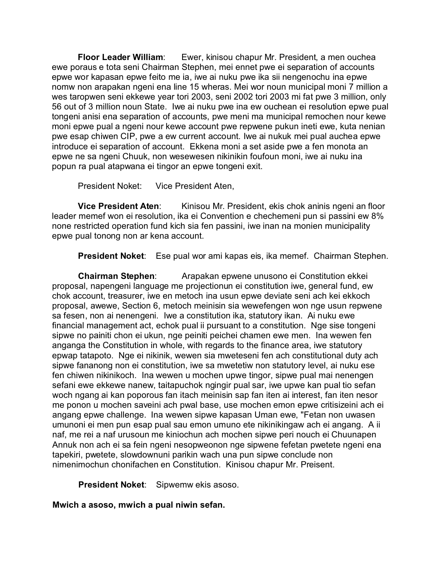**Floor Leader William**: Ewer, kinisou chapur Mr. President, a men ouchea ewe poraus e tota seni Chairman Stephen, mei ennet pwe ei separation of accounts epwe wor kapasan epwe feito me ia, iwe ai nuku pwe ika sii nengenochu ina epwe nomw non arapakan ngeni ena line 15 wheras. Mei wor noun municipal moni 7 million a wes taropwen seni ekkewe year tori 2003, seni 2002 tori 2003 mi fat pwe 3 million, only 56 out of 3 million noun State. Iwe ai nuku pwe ina ew ouchean ei resolution epwe pual tongeni anisi ena separation of accounts, pwe meni ma municipal remochen nour kewe moni epwe pual a ngeni nour kewe account pwe repwene pukun ineti ewe, kuta nenian pwe esap chiwen CIP, pwe a ew current account. Iwe ai nukuk mei pual auchea epwe introduce ei separation of account. Ekkena moni a set aside pwe a fen monota an epwe ne sa ngeni Chuuk, non wesewesen nikinikin foufoun moni, iwe ai nuku ina popun ra pual atapwana ei tingor an epwe tongeni exit.

President Noket: Vice President Aten,

**Vice President Aten:** Kinisou Mr. President, ekis chok aninis ngeni an floor leader memef won ei resolution, ika ei Convention e chechemeni pun si passini ew 8% none restricted operation fund kich sia fen passini, iwe inan na monien municipality epwe pual tonong non ar kena account.

**President Noket**: Ese pual wor ami kapas eis, ika memef. Chairman Stephen.

**Chairman Stephen**: Arapakan epwene unusono ei Constitution ekkei proposal, napengeni language me projectionun ei constitution iwe, general fund, ew chok account, treasurer, iwe en metoch ina usun epwe deviate seni ach kei ekkoch proposal, awewe, Section 6, metoch meinisin sia wewefengen won nge usun repwene sa fesen, non ai nenengeni. Iwe a constitution ika, statutory ikan. Ai nuku ewe financial management act, echok pual ii pursuant to a constitution. Nge sise tongeni sipwe no painiti chon ei ukun, nge peiniti peichei chamen ewe men. Ina wewen fen anganga the Constitution in whole, with regards to the finance area, iwe statutory epwap tatapoto. Nge ei nikinik, wewen sia mweteseni fen ach constitutional duty ach sipwe fananong non ei constitution, iwe sa mwetetiw non statutory level, ai nuku ese fen chiwen nikinikoch. Ina wewen u mochen upwe tingor, sipwe pual mai nenengen sefani ewe ekkewe nanew, taitapuchok ngingir pual sar, iwe upwe kan pual tio sefan woch ngang ai kan poporous fan itach meinisin sap fan iten ai interest, fan iten nesor me ponon u mochen saveini ach pwal base, use mochen emon epwe critisizeini ach ei angang epwe challenge. Ina wewen sipwe kapasan Uman ewe, "Fetan non uwasen umunoni ei men pun esap pual sau emon umuno ete nikinikingaw ach ei angang. A ii naf, me rei a naf urusoun me kiniochun ach mochen sipwe peri nouch ei Chuunapen Annuk non ach ei sa fein ngeni nesopweonon nge sipwene fefetan pwetete ngeni ena tapekiri, pwetete, slowdownuni parikin wach una pun sipwe conclude non nimenimochun chonifachen en Constitution. Kinisou chapur Mr. Preisent.

**President Noket**: Sipwemw ekis asoso.

**Mwich a asoso, mwich a pual niwin sefan.**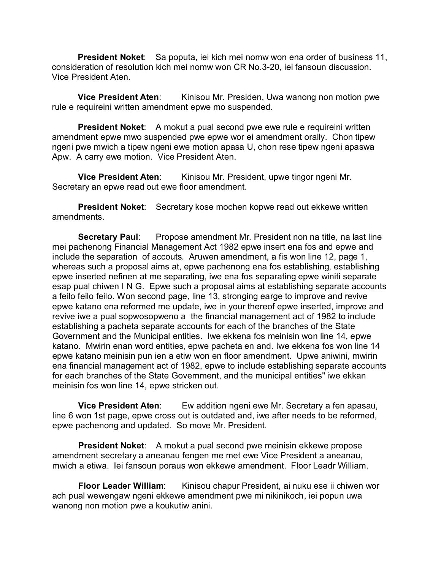**President Noket**: Sa poputa, iei kich mei nomw won ena order of business 11, consideration of resolution kich mei nomw won CR No.3-20, iei fansoun discussion. Vice President Aten.

**Vice President Aten:** Kinisou Mr. Presiden, Uwa wanong non motion pwe rule e requireini written amendment epwe mo suspended.

**President Noket:** A mokut a pual second pwe ewe rule e requireini written amendment epwe mwo suspended pwe epwe wor ei amendment orally. Chon tipew ngeni pwe mwich a tipew ngeni ewe motion apasa U, chon rese tipew ngeni apaswa Apw. A carry ewe motion. Vice President Aten.

**Vice President Aten:** Kinisou Mr. President, upwe tingor ngeni Mr. Secretary an epwe read out ewe floor amendment.

**President Noket**: Secretary kose mochen kopwe read out ekkewe written amendments.

**Secretary Paul:** Propose amendment Mr. President non na title, na last line mei pachenong Financial Management Act 1982 epwe insert ena fos and epwe and include the separation of accouts. Aruwen amendment, a fis won line 12, page 1, whereas such a proposal aims at, epwe pachenong ena fos establishing, establishing epwe inserted nefinen at me separating, iwe ena fos separating epwe winiti separate esap pual chiwen I N G. Epwe such a proposal aims at establishing separate accounts a feilo feilo feilo. Won second page, line 13, stronging earge to improve and revive epwe katano ena reformed me update, iwe in your thereof epwe inserted, improve and revive iwe a pual sopwosopweno a the financial management act of 1982 to include establishing a pacheta separate accounts for each of the branches of the State Government and the Municipal entities. Iwe ekkena fos meinisin won line 14, epwe katano. Mwirin enan word entities, epwe pacheta en and. Iwe ekkena fos won line 14 epwe katano meinisin pun ien a etiw won en floor amendment. Upwe aniwini, mwirin ena financial management act of 1982, epwe to include establishing separate accounts for each branches of the State Government, and the municipal entities" iwe ekkan meinisin fos won line 14, epwe stricken out.

**Vice President Aten:** Ew addition ngeni ewe Mr. Secretary a fen apasau, line 6 won 1st page, epwe cross out is outdated and, iwe after needs to be reformed, epwe pachenong and updated. So move Mr. President.

**President Noket**: A mokut a pual second pwe meinisin ekkewe propose amendment secretary a aneanau fengen me met ewe Vice President a aneanau, mwich a etiwa. Iei fansoun poraus won ekkewe amendment. Floor Leadr William.

**Floor Leader William**: Kinisou chapur President, ai nuku ese ii chiwen wor ach pual wewengaw ngeni ekkewe amendment pwe mi nikinikoch, iei popun uwa wanong non motion pwe a koukutiw anini.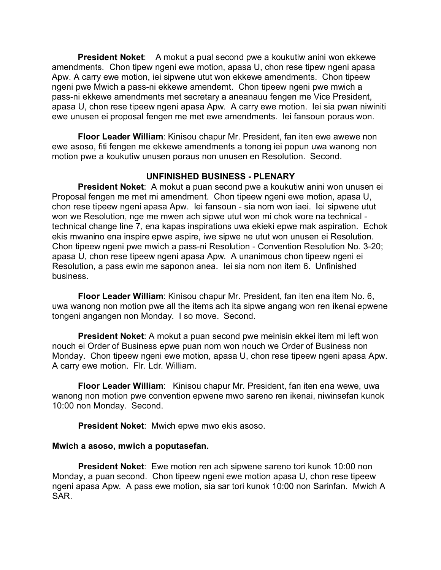**President Noket**: A mokut a pual second pwe a koukutiw anini won ekkewe amendments. Chon tipew ngeni ewe motion, apasa U, chon rese tipew ngeni apasa Apw. A carry ewe motion, iei sipwene utut won ekkewe amendments. Chon tipeew ngeni pwe Mwich a pass-ni ekkewe amendemt. Chon tipeew ngeni pwe mwich a pass-ni ekkewe amendments met secretary a aneanauu fengen me Vice President, apasa U, chon rese tipeew ngeni apasa Apw. A carry ewe motion. Iei sia pwan niwiniti ewe unusen ei proposal fengen me met ewe amendments. Iei fansoun poraus won.

**Floor Leader William**: Kinisou chapur Mr. President, fan iten ewe awewe non ewe asoso, fiti fengen me ekkewe amendments a tonong iei popun uwa wanong non motion pwe a koukutiw unusen poraus non unusen en Resolution. Second.

# **UNFINISHED BUSINESS - PLENARY**

**President Noket**: A mokut a puan second pwe a koukutiw anini won unusen ei Proposal fengen me met mi amendment. Chon tipeew ngeni ewe motion, apasa U, chon rese tipeew ngeni apasa Apw. Iei fansoun - sia nom won iaei. Iei sipwene utut won we Resolution, nge me mwen ach sipwe utut won mi chok wore na technical technical change line 7, ena kapas inspirations uwa ekieki epwe mak aspiration. Echok ekis mwanino ena inspire epwe aspire, iwe sipwe ne utut won unusen ei Resolution. Chon tipeew ngeni pwe mwich a pass-ni Resolution - Convention Resolution No. 3-20; apasa U, chon rese tipeew ngeni apasa Apw. A unanimous chon tipeew ngeni ei Resolution, a pass ewin me saponon anea. Iei sia nom non item 6. Unfinished business.

**Floor Leader William**: Kinisou chapur Mr. President, fan iten ena item No. 6, uwa wanong non motion pwe all the items ach ita sipwe angang won ren ikenai epwene tongeni angangen non Monday. I so move. Second.

**President Noket**: A mokut a puan second pwe meinisin ekkei item mi left won nouch ei Order of Business epwe puan nom won nouch we Order of Business non Monday. Chon tipeew ngeni ewe motion, apasa U, chon rese tipeew ngeni apasa Apw. A carry ewe motion. Flr. Ldr. William.

**Floor Leader William**: Kinisou chapur Mr. President, fan iten ena wewe, uwa wanong non motion pwe convention epwene mwo sareno ren ikenai, niwinsefan kunok 10:00 non Monday. Second.

**President Noket**: Mwich epwe mwo ekis asoso.

# **Mwich a asoso, mwich a poputasefan.**

**President Noket**: Ewe motion ren ach sipwene sareno tori kunok 10:00 non Monday, a puan second. Chon tipeew ngeni ewe motion apasa U, chon rese tipeew ngeni apasa Apw. A pass ewe motion, sia sar tori kunok 10:00 non Sarinfan. Mwich A SAR.